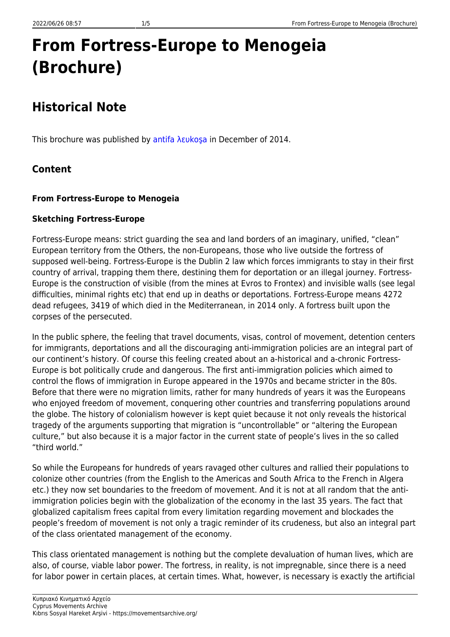# **From Fortress-Europe to Menogeia (Brochure)**

## **Historical Note**

This brochure was published by [antifa λευkoşa](https://movementsarchive.org/doku.php?id=en:groups:antifalefkosha) in December of 2014.

### **Content**

#### **From Fortress-Europe to Menogeia**

#### **Sketching Fortress-Europe**

Fortress-Europe means: strict guarding the sea and land borders of an imaginary, unified, "clean" European territory from the Others, the non-Europeans, those who live outside the fortress of supposed well-being. Fortress-Europe is the Dublin 2 law which forces immigrants to stay in their first country of arrival, trapping them there, destining them for deportation or an illegal journey. Fortress-Europe is the construction of visible (from the mines at Evros to Frontex) and invisible walls (see legal difficulties, minimal rights etc) that end up in deaths or deportations. Fortress-Europe means 4272 dead refugees, 3419 of which died in the Mediterranean, in 2014 only. A fortress built upon the corpses of the persecuted.

In the public sphere, the feeling that travel documents, visas, control of movement, detention centers for immigrants, deportations and all the discouraging anti-immigration policies are an integral part of our continent's history. Of course this feeling created about an a-historical and a-chronic Fortress-Europe is bot politically crude and dangerous. The first anti-immigration policies which aimed to control the flows of immigration in Europe appeared in the 1970s and became stricter in the 80s. Before that there were no migration limits, rather for many hundreds of years it was the Europeans who enjoyed freedom of movement, conquering other countries and transferring populations around the globe. The history of colonialism however is kept quiet because it not only reveals the historical tragedy of the arguments supporting that migration is "uncontrollable" or "altering the European culture," but also because it is a major factor in the current state of people's lives in the so called "third world."

So while the Europeans for hundreds of years ravaged other cultures and rallied their populations to colonize other countries (from the English to the Americas and South Africa to the French in Algera etc.) they now set boundaries to the freedom of movement. And it is not at all random that the antiimmigration policies begin with the globalization of the economy in the last 35 years. The fact that globalized capitalism frees capital from every limitation regarding movement and blockades the people's freedom of movement is not only a tragic reminder of its crudeness, but also an integral part of the class orientated management of the economy.

This class orientated management is nothing but the complete devaluation of human lives, which are also, of course, viable labor power. The fortress, in reality, is not impregnable, since there is a need for labor power in certain places, at certain times. What, however, is necessary is exactly the artificial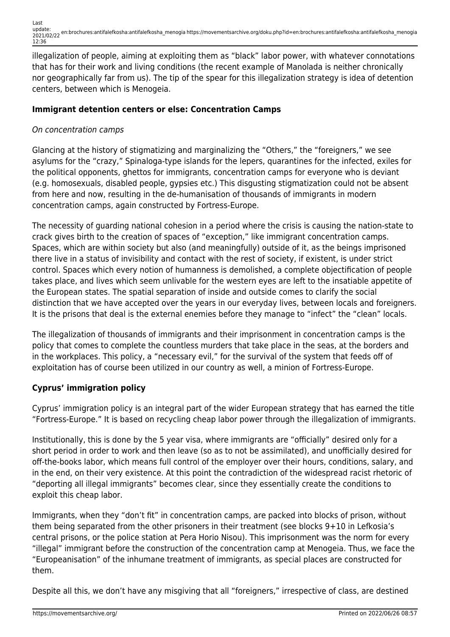Last update: 2021/02/22 en:brochures:antifalefkosha:antifalefkosha\_menogia https://movementsarchive.org/doku.php?id=en:brochures:antifalefkosha:antifalefkosha\_menogia 12:36

illegalization of people, aiming at exploiting them as "black" labor power, with whatever connotations that has for their work and living conditions (the recent example of Manolada is neither chronically nor geographically far from us). The tip of the spear for this illegalization strategy is idea of detention centers, between which is Menogeia.

#### **Immigrant detention centers or else: Concentration Camps**

#### On concentration camps

Glancing at the history of stigmatizing and marginalizing the "Others," the "foreigners," we see asylums for the "crazy," Spinaloga-type islands for the lepers, quarantines for the infected, exiles for the political opponents, ghettos for immigrants, concentration camps for everyone who is deviant (e.g. homosexuals, disabled people, gypsies etc.) This disgusting stigmatization could not be absent from here and now, resulting in the de-humanisation of thousands of immigrants in modern concentration camps, again constructed by Fortress-Europe.

The necessity of guarding national cohesion in a period where the crisis is causing the nation-state to crack gives birth to the creation of spaces of "exception," like immigrant concentration camps. Spaces, which are within society but also (and meaningfully) outside of it, as the beings imprisoned there live in a status of invisibility and contact with the rest of society, if existent, is under strict control. Spaces which every notion of humanness is demolished, a complete objectification of people takes place, and lives which seem unlivable for the western eyes are left to the insatiable appetite of the European states. The spatial separation of inside and outside comes to clarify the social distinction that we have accepted over the years in our everyday lives, between locals and foreigners. It is the prisons that deal is the external enemies before they manage to "infect" the "clean" locals.

The illegalization of thousands of immigrants and their imprisonment in concentration camps is the policy that comes to complete the countless murders that take place in the seas, at the borders and in the workplaces. This policy, a "necessary evil," for the survival of the system that feeds off of exploitation has of course been utilized in our country as well, a minion of Fortress-Europe.

#### **Cyprus' immigration policy**

Cyprus' immigration policy is an integral part of the wider European strategy that has earned the title "Fortress-Europe." It is based on recycling cheap labor power through the illegalization of immigrants.

Institutionally, this is done by the 5 year visa, where immigrants are "officially" desired only for a short period in order to work and then leave (so as to not be assimilated), and unofficially desired for off-the-books labor, which means full control of the employer over their hours, conditions, salary, and in the end, on their very existence. At this point the contradiction of the widespread racist rhetoric of "deporting all illegal immigrants" becomes clear, since they essentially create the conditions to exploit this cheap labor.

Immigrants, when they "don't fit" in concentration camps, are packed into blocks of prison, without them being separated from the other prisoners in their treatment (see blocks 9+10 in Lefkosia's central prisons, or the police station at Pera Horio Nisou). This imprisonment was the norm for every "illegal" immigrant before the construction of the concentration camp at Menogeia. Thus, we face the "Europeanisation" of the inhumane treatment of immigrants, as special places are constructed for them.

Despite all this, we don't have any misgiving that all "foreigners," irrespective of class, are destined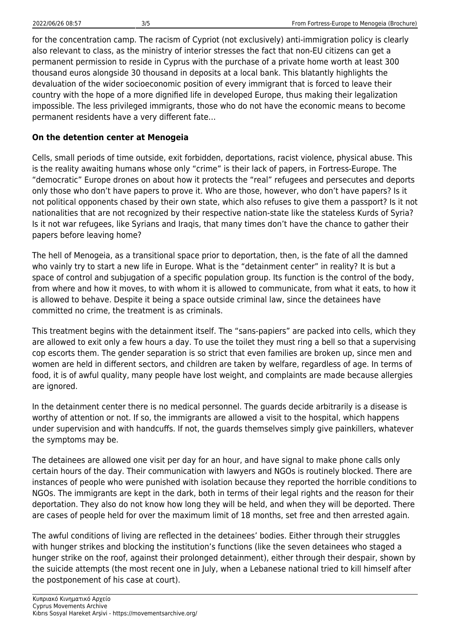for the concentration camp. The racism of Cypriot (not exclusively) anti-immigration policy is clearly also relevant to class, as the ministry of interior stresses the fact that non-EU citizens can get a permanent permission to reside in Cyprus with the purchase of a private home worth at least 300 thousand euros alongside 30 thousand in deposits at a local bank. This blatantly highlights the devaluation of the wider socioeconomic position of every immigrant that is forced to leave their country with the hope of a more dignified life in developed Europe, thus making their legalization impossible. The less privileged immigrants, those who do not have the economic means to become permanent residents have a very different fate…

### **On the detention center at Menogeia**

Cells, small periods of time outside, exit forbidden, deportations, racist violence, physical abuse. This is the reality awaiting humans whose only "crime" is their lack of papers, in Fortress-Europe. The "democratic" Europe drones on about how it protects the "real" refugees and persecutes and deports only those who don't have papers to prove it. Who are those, however, who don't have papers? Is it not political opponents chased by their own state, which also refuses to give them a passport? Is it not nationalities that are not recognized by their respective nation-state like the stateless Kurds of Syria? Is it not war refugees, like Syrians and Iraqis, that many times don't have the chance to gather their papers before leaving home?

The hell of Menogeia, as a transitional space prior to deportation, then, is the fate of all the damned who vainly try to start a new life in Europe. What is the "detainment center" in reality? It is but a space of control and subjugation of a specific population group. Its function is the control of the body, from where and how it moves, to with whom it is allowed to communicate, from what it eats, to how it is allowed to behave. Despite it being a space outside criminal law, since the detainees have committed no crime, the treatment is as criminals.

This treatment begins with the detainment itself. The "sans-papiers" are packed into cells, which they are allowed to exit only a few hours a day. To use the toilet they must ring a bell so that a supervising cop escorts them. The gender separation is so strict that even families are broken up, since men and women are held in different sectors, and children are taken by welfare, regardless of age. In terms of food, it is of awful quality, many people have lost weight, and complaints are made because allergies are ignored.

In the detainment center there is no medical personnel. The guards decide arbitrarily is a disease is worthy of attention or not. If so, the immigrants are allowed a visit to the hospital, which happens under supervision and with handcuffs. If not, the guards themselves simply give painkillers, whatever the symptoms may be.

The detainees are allowed one visit per day for an hour, and have signal to make phone calls only certain hours of the day. Their communication with lawyers and NGOs is routinely blocked. There are instances of people who were punished with isolation because they reported the horrible conditions to NGOs. The immigrants are kept in the dark, both in terms of their legal rights and the reason for their deportation. They also do not know how long they will be held, and when they will be deported. There are cases of people held for over the maximum limit of 18 months, set free and then arrested again.

The awful conditions of living are reflected in the detainees' bodies. Either through their struggles with hunger strikes and blocking the institution's functions (like the seven detainees who staged a hunger strike on the roof, against their prolonged detainment), either through their despair, shown by the suicide attempts (the most recent one in July, when a Lebanese national tried to kill himself after the postponement of his case at court).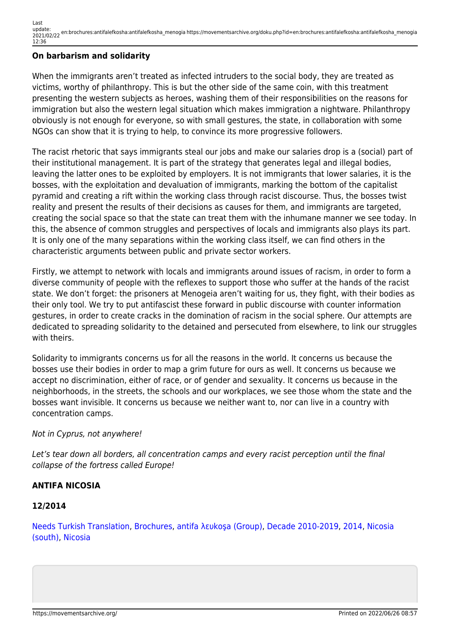Last update: 2021/02/22 en:brochures:antifalefkosha:antifalefkosha\_menogia https://movementsarchive.org/doku.php?id=en:brochures:antifalefkosha:antifalefkosha\_menogia 12:36

#### **On barbarism and solidarity**

When the immigrants aren't treated as infected intruders to the social body, they are treated as victims, worthy of philanthropy. This is but the other side of the same coin, with this treatment presenting the western subjects as heroes, washing them of their responsibilities on the reasons for immigration but also the western legal situation which makes immigration a nightware. Philanthropy obviously is not enough for everyone, so with small gestures, the state, in collaboration with some NGOs can show that it is trying to help, to convince its more progressive followers.

The racist rhetoric that says immigrants steal our jobs and make our salaries drop is a (social) part of their institutional management. It is part of the strategy that generates legal and illegal bodies, leaving the latter ones to be exploited by employers. It is not immigrants that lower salaries, it is the bosses, with the exploitation and devaluation of immigrants, marking the bottom of the capitalist pyramid and creating a rift within the working class through racist discourse. Thus, the bosses twist reality and present the results of their decisions as causes for them, and immigrants are targeted, creating the social space so that the state can treat them with the inhumane manner we see today. In this, the absence of common struggles and perspectives of locals and immigrants also plays its part. It is only one of the many separations within the working class itself, we can find others in the characteristic arguments between public and private sector workers.

Firstly, we attempt to network with locals and immigrants around issues of racism, in order to form a diverse community of people with the reflexes to support those who suffer at the hands of the racist state. We don't forget: the prisoners at Menogeia aren't waiting for us, they fight, with their bodies as their only tool. We try to put antifascist these forward in public discourse with counter information gestures, in order to create cracks in the domination of racism in the social sphere. Our attempts are dedicated to spreading solidarity to the detained and persecuted from elsewhere, to link our struggles with theirs.

Solidarity to immigrants concerns us for all the reasons in the world. It concerns us because the bosses use their bodies in order to map a grim future for ours as well. It concerns us because we accept no discrimination, either of race, or of gender and sexuality. It concerns us because in the neighborhoods, in the streets, the schools and our workplaces, we see those whom the state and the bosses want invisible. It concerns us because we neither want to, nor can live in a country with concentration camps.

#### Not in Cyprus, not anywhere!

Let's tear down all borders, all concentration camps and every racist perception until the final collapse of the fortress called Europe!

#### **ANTIFA NICOSIA**

#### **12/2014**

[Needs Turkish Translation](https://movementsarchive.org/doku.php?id=condition:needs_translation:needs_turkish_translation&do=showtag&tag=Condition%3ANeeds_Translation%3ANeeds_Turkish_Translation), [Brochures](https://movementsarchive.org/doku.php?id=tag:brochures&do=showtag&tag=Brochures), [antifa λευkoşa \(Group\)](https://movementsarchive.org/doku.php?id=groups:antifa_%CE%BB%CE%B5%CF%85ko%C5%9Fa_group&do=showtag&tag=Groups%3Aantifa_%CE%BB%CE%B5%CF%85ko%C5%9Fa_%28Group%29), [Decade 2010-2019](https://movementsarchive.org/doku.php?id=decade:decade_2010-2019&do=showtag&tag=Decade%3ADecade_2010-2019), [2014](https://movementsarchive.org/doku.php?id=year:2014&do=showtag&tag=Year%3A2014), [Nicosia](https://movementsarchive.org/doku.php?id=areas:nicosia:nicosia_south&do=showtag&tag=Areas%3ANicosia%3ANicosia_%28south%29) [\(south\),](https://movementsarchive.org/doku.php?id=areas:nicosia:nicosia_south&do=showtag&tag=Areas%3ANicosia%3ANicosia_%28south%29) [Nicosia](https://movementsarchive.org/doku.php?id=areas:nicosia&do=showtag&tag=Areas%3ANicosia)